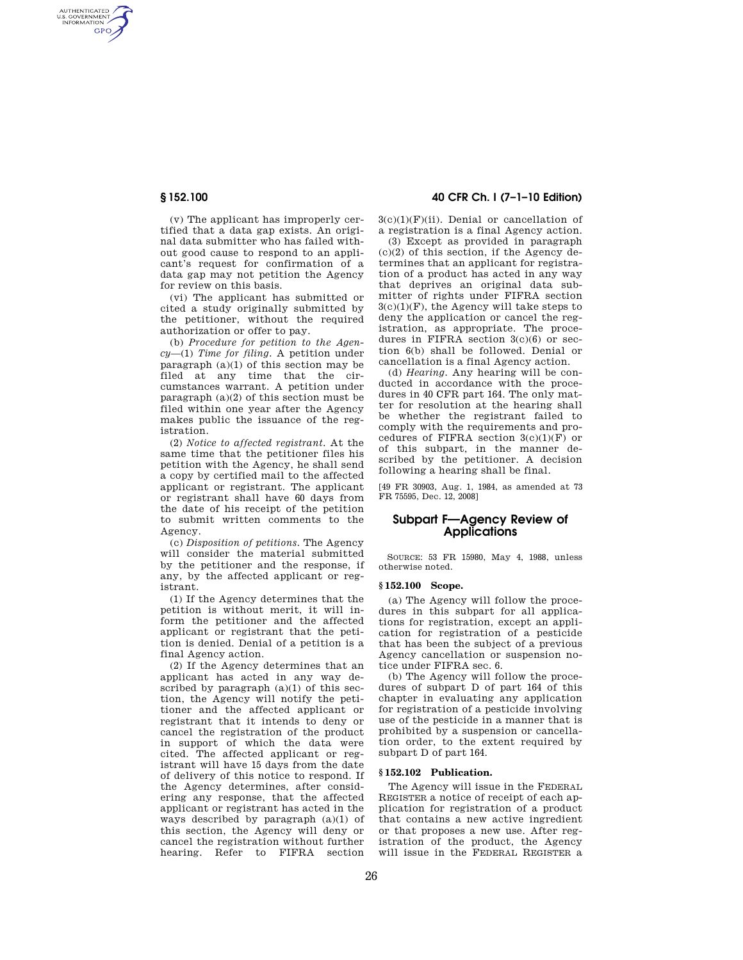AUTHENTICATED<br>U.S. GOVERNMENT<br>INFORMATION **GPO** 

> (v) The applicant has improperly certified that a data gap exists. An original data submitter who has failed without good cause to respond to an applicant's request for confirmation of a data gap may not petition the Agency for review on this basis.

> (vi) The applicant has submitted or cited a study originally submitted by the petitioner, without the required authorization or offer to pay.

> (b) *Procedure for petition to the Agency*—(1) *Time for filing.* A petition under paragraph  $(a)(1)$  of this section may be filed at any time that the circumstances warrant. A petition under paragraph (a)(2) of this section must be filed within one year after the Agency makes public the issuance of the registration.

> (2) *Notice to affected registrant.* At the same time that the petitioner files his petition with the Agency, he shall send a copy by certified mail to the affected applicant or registrant. The applicant or registrant shall have 60 days from the date of his receipt of the petition to submit written comments to the Agency.

> (c) *Disposition of petitions.* The Agency will consider the material submitted by the petitioner and the response, if any, by the affected applicant or registrant.

> (1) If the Agency determines that the petition is without merit, it will inform the petitioner and the affected applicant or registrant that the petition is denied. Denial of a petition is a final Agency action.

> (2) If the Agency determines that an applicant has acted in any way described by paragraph  $(a)(1)$  of this section, the Agency will notify the petitioner and the affected applicant or registrant that it intends to deny or cancel the registration of the product in support of which the data were cited. The affected applicant or registrant will have 15 days from the date of delivery of this notice to respond. If the Agency determines, after considering any response, that the affected applicant or registrant has acted in the ways described by paragraph (a)(1) of this section, the Agency will deny or cancel the registration without further hearing. Refer to FIFRA section

# **§ 152.100 40 CFR Ch. I (7–1–10 Edition)**

 $3(c)(1)(F)(ii)$ . Denial or cancellation of a registration is a final Agency action.

(3) Except as provided in paragraph  $(c)(2)$  of this section, if the Agency determines that an applicant for registration of a product has acted in any way that deprives an original data submitter of rights under FIFRA section  $3(c)(1)(F)$ , the Agency will take steps to deny the application or cancel the registration, as appropriate. The procedures in FIFRA section  $3(c)(6)$  or section 6(b) shall be followed. Denial or cancellation is a final Agency action.

(d) *Hearing.* Any hearing will be conducted in accordance with the procedures in 40 CFR part 164. The only matter for resolution at the hearing shall be whether the registrant failed to comply with the requirements and procedures of FIFRA section  $3(c)(1)(F)$  or of this subpart, in the manner described by the petitioner. A decision following a hearing shall be final.

[49 FR 30903, Aug. 1, 1984, as amended at 73 FR 75595, Dec. 12, 2008]

# **Subpart F—Agency Review of Applications**

SOURCE: 53 FR 15980, May 4, 1988, unless otherwise noted.

## **§ 152.100 Scope.**

(a) The Agency will follow the procedures in this subpart for all applications for registration, except an application for registration of a pesticide that has been the subject of a previous Agency cancellation or suspension notice under FIFRA sec. 6.

(b) The Agency will follow the procedures of subpart D of part 164 of this chapter in evaluating any application for registration of a pesticide involving use of the pesticide in a manner that is prohibited by a suspension or cancellation order, to the extent required by subpart D of part 164.

# **§ 152.102 Publication.**

The Agency will issue in the FEDERAL REGISTER a notice of receipt of each application for registration of a product that contains a new active ingredient or that proposes a new use. After registration of the product, the Agency will issue in the FEDERAL REGISTER a